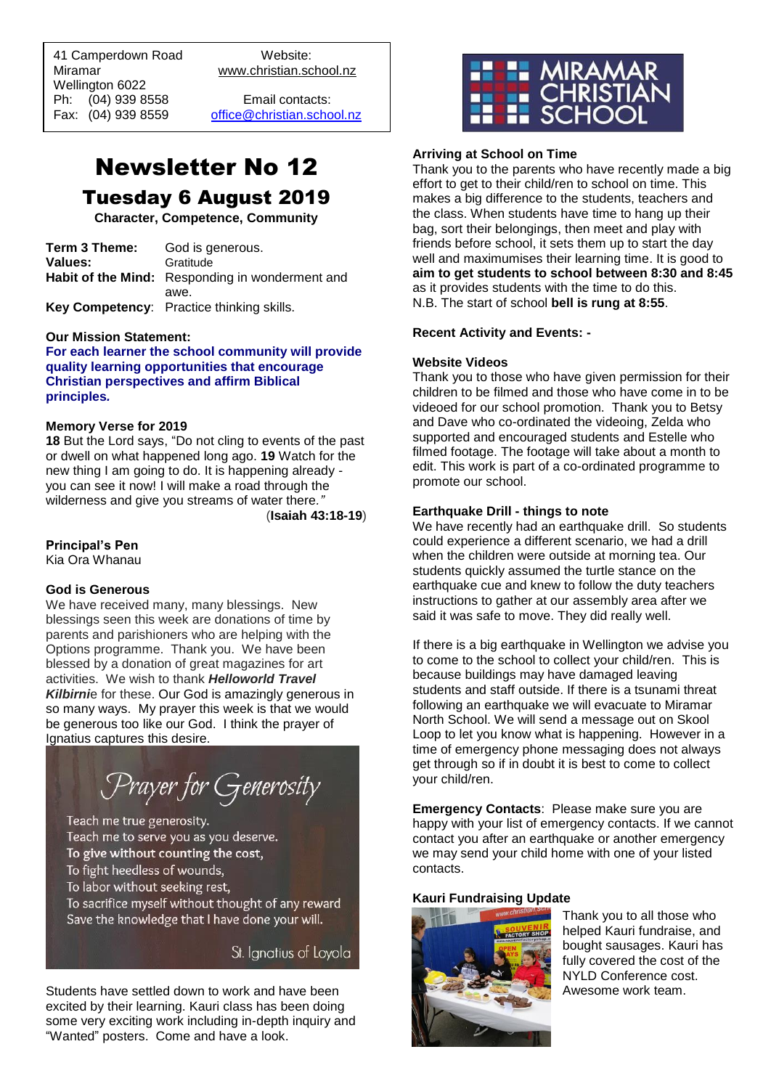41 Camperdown Road Website: Miramar www.christian.school.nz Wellington 6022 Ph: (04) 939 8558 Email contacts:

 $\overline{a}$ 

Fax: (04) 939 8559 [office@christian.school.nz](mailto:office@christian.school.nz)

# Newsletter No 12 Tuesday 6 August 2019

**Character, Competence, Community**

| Term 3 Theme:  | God is generous.                                |
|----------------|-------------------------------------------------|
| <b>Values:</b> | Gratitude                                       |
|                | Habit of the Mind: Responding in wonderment and |
|                | awe.                                            |
|                | Key Competency: Practice thinking skills.       |

#### **Our Mission Statement:**

**For each learner the school community will provide quality learning opportunities that encourage Christian perspectives and affirm Biblical principles***.*

#### **Memory Verse for 2019**

**18** But the Lord says, "Do not cling to events of the past or dwell on what happened long ago. **19** Watch for the new thing I am going to do. It is happening already you can see it now! I will make a road through the wilderness and give you streams of water there*."*

(**Isaiah 43:18-19**)

## **Principal's Pen**

Kia Ora Whanau

#### **God is Generous**

We have received many, many blessings. New blessings seen this week are donations of time by parents and parishioners who are helping with the Options programme. Thank you. We have been blessed by a donation of great magazines for art activities. We wish to thank *Helloworld Travel Kilbirni*e for these. Our God is amazingly generous in so many ways. My prayer this week is that we would be generous too like our God. I think the prayer of Ignatius captures this desire.

Prayer for Generosity

Teach me true generosity. Teach me to serve you as you deserve. To give without counting the cost, To fight heedless of wounds, To labor without seeking rest, To sacrifice myself without thought of any reward Save the knowledge that I have done your will.

St. Ignatius of Loyola

Students have settled down to work and have been excited by their learning. Kauri class has been doing some very exciting work including in-depth inquiry and "Wanted" posters. Come and have a look.



#### **Arriving at School on Time**

Thank you to the parents who have recently made a big effort to get to their child/ren to school on time. This makes a big difference to the students, teachers and the class. When students have time to hang up their bag, sort their belongings, then meet and play with friends before school, it sets them up to start the day well and maximumises their learning time. It is good to **aim to get students to school between 8:30 and 8:45** as it provides students with the time to do this. N.B. The start of school **bell is rung at 8:55**.

#### **Recent Activity and Events: -**

#### **Website Videos**

Thank you to those who have given permission for their children to be filmed and those who have come in to be videoed for our school promotion.Thank you to Betsy and Dave who co-ordinated the videoing, Zelda who supported and encouraged students and Estelle who filmed footage. The footage will take about a month to edit. This work is part of a co-ordinated programme to promote our school.

#### **Earthquake Drill - things to note**

We have recently had an earthquake drill. So students could experience a different scenario, we had a drill when the children were outside at morning tea. Our students quickly assumed the turtle stance on the earthquake cue and knew to follow the duty teachers instructions to gather at our assembly area after we said it was safe to move. They did really well.

If there is a big earthquake in Wellington we advise you to come to the school to collect your child/ren. This is because buildings may have damaged leaving students and staff outside. If there is a tsunami threat following an earthquake we will evacuate to Miramar North School. We will send a message out on Skool Loop to let you know what is happening. However in a time of emergency phone messaging does not always get through so if in doubt it is best to come to collect your child/ren.

**Emergency Contacts**: Please make sure you are happy with your list of emergency contacts. If we cannot contact you after an earthquake or another emergency we may send your child home with one of your listed contacts.

## **Kauri Fundraising Update**



Thank you to all those who helped Kauri fundraise, and bought sausages. Kauri has fully covered the cost of the NYLD Conference cost. Awesome work team.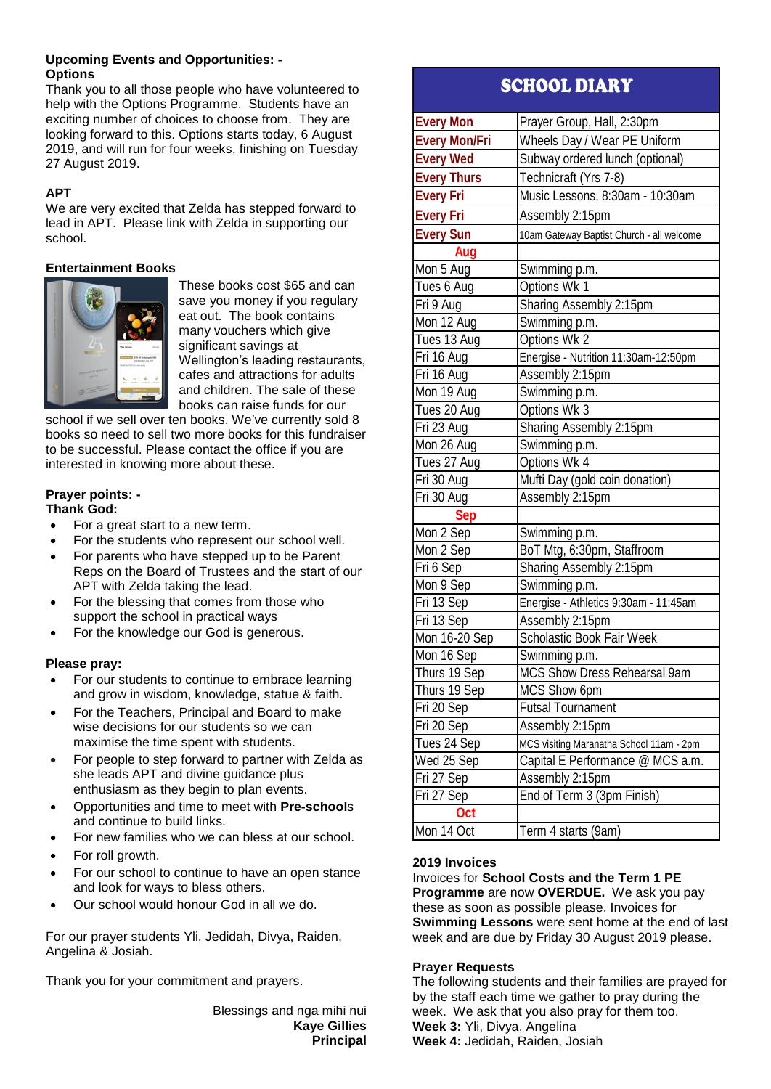### **Upcoming Events and Opportunities: - Options**

Thank you to all those people who have volunteered to help with the Options Programme. Students have an exciting number of choices to choose from. They are looking forward to this. Options starts today, 6 August 2019, and will run for four weeks, finishing on Tuesday 27 August 2019.

## **APT**

We are very excited that Zelda has stepped forward to lead in APT. Please link with Zelda in supporting our school.

## **Entertainment Books**



These books cost \$65 and can save you money if you regulary eat out. The book contains many vouchers which give significant savings at Wellington's leading restaurants, cafes and attractions for adults and children. The sale of these books can raise funds for our

school if we sell over ten books. We've currently sold 8 books so need to sell two more books for this fundraiser to be successful. Please contact the office if you are interested in knowing more about these.

#### **Prayer points: - Thank God:**

- For a great start to a new term.
- For the students who represent our school well.
- For parents who have stepped up to be Parent Reps on the Board of Trustees and the start of our APT with Zelda taking the lead.
- For the blessing that comes from those who support the school in practical ways
- For the knowledge our God is generous.

## **Please pray:**

- For our students to continue to embrace learning and grow in wisdom, knowledge, statue & faith.
- For the Teachers, Principal and Board to make wise decisions for our students so we can maximise the time spent with students.
- For people to step forward to partner with Zelda as she leads APT and divine guidance plus enthusiasm as they begin to plan events.
- Opportunities and time to meet with **Pre-school**s and continue to build links.
- For new families who we can bless at our school.
- For roll growth.
- For our school to continue to have an open stance and look for ways to bless others.
- Our school would honour God in all we do.

For our prayer students Yli, Jedidah, Divya, Raiden, Angelina & Josiah.

Thank you for your commitment and prayers.

Blessings and nga mihi nui **Kaye Gillies Principal**

## SCHOOL DIARY

| <b>Every Mon</b>     | Prayer Group, Hall, 2:30pm                |
|----------------------|-------------------------------------------|
| <b>Every Mon/Fri</b> | Wheels Day / Wear PE Uniform              |
| <b>Every Wed</b>     | Subway ordered lunch (optional)           |
| <b>Every Thurs</b>   | Technicraft (Yrs 7-8)                     |
| <b>Every Fri</b>     | Music Lessons, 8:30am - 10:30am           |
| <b>Every Fri</b>     | Assembly 2:15pm                           |
| <b>Every Sun</b>     | 10am Gateway Baptist Church - all welcome |
| Aug                  |                                           |
| Mon 5 Aug            | Swimming p.m.                             |
| Tues 6 Aug           | Options Wk 1                              |
| Fri 9 Aug            | Sharing Assembly 2:15pm                   |
| Mon 12 Aug           | Swimming p.m.                             |
| Tues 13 Aug          | Options Wk 2                              |
| Fri 16 Aug           | Energise - Nutrition 11:30am-12:50pm      |
| Fri 16 Aug           | Assembly 2:15pm                           |
| Mon 19 Aug           | Swimming p.m.                             |
| Tues 20 Aug          | Options Wk 3                              |
| Fri 23 Aug           | Sharing Assembly 2:15pm                   |
| Mon 26 Aug           | Swimming p.m.                             |
| Tues 27 Aug          | Options Wk 4                              |
| Fri 30 Aug           | Mufti Day (gold coin donation)            |
| Fri 30 Aug           | Assembly 2:15pm                           |
| <b>Sep</b>           |                                           |
| Mon 2 Sep            | Swimming p.m.                             |
| Mon 2 Sep            | BoT Mtg, 6:30pm, Staffroom                |
| Fri 6 Sep            | Sharing Assembly 2:15pm                   |
| Mon 9 Sep            | Swimming p.m.                             |
| Fri 13 Sep           | Energise - Athletics 9:30am - 11:45am     |
| Fri 13 Sep           | Assembly 2:15pm                           |
| Mon 16-20 Sep        | Scholastic Book Fair Week                 |
| Mon 16 Sep           | Swimming p.m.                             |
| Thurs 19 Sep         | MCS Show Dress Rehearsal 9am              |
| Thurs 19 Sep         | MCS Show 6pm                              |
| Fri 20 Sep           | <b>Futsal Tournament</b>                  |
| Fri 20 Sep           | Assembly 2:15pm                           |
| Tues 24 Sep          | MCS visiting Maranatha School 11am - 2pm  |
| Wed 25 Sep           | Capital E Performance @ MCS a.m.          |
| Fri 27 Sep           | Assembly 2:15pm                           |
| Fri 27 Sep           | End of Term 3 (3pm Finish)                |
| Oct                  |                                           |
| Mon 14 Oct           | Term 4 starts (9am)                       |

## **2019 Invoices**

Invoices for **School Costs and the Term 1 PE Programme** are now **OVERDUE.** We ask you pay these as soon as possible please. Invoices for **Swimming Lessons** were sent home at the end of last week and are due by Friday 30 August 2019 please.

### **Prayer Requests**

The following students and their families are prayed for by the staff each time we gather to pray during the week. We ask that you also pray for them too. **Week 3:** Yli, Divya, Angelina **Week 4:** Jedidah, Raiden, Josiah